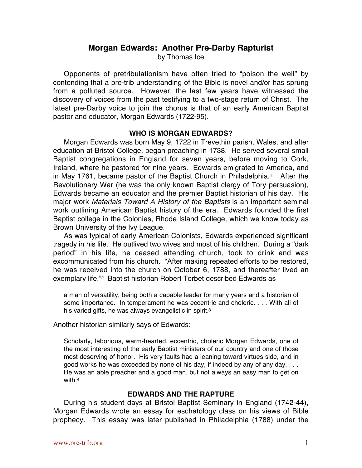# **Morgan Edwards: Another Pre-Darby Rapturist**

by Thomas Ice

Opponents of pretribulationism have often tried to "poison the well" by contending that a pre-trib understanding of the Bible is novel and/or has sprung from a polluted source. However, the last few years have witnessed the discovery of voices from the past testifying to a two-stage return of Christ. The latest pre-Darby voice to join the chorus is that of an early American Baptist pastor and educator, Morgan Edwards (1722-95).

## **WHO IS MORGAN EDWARDS?**

Morgan Edwards was born May 9, 1722 in Trevethin parish, Wales, and after education at Bristol College, began preaching in 1738. He served several small Baptist congregations in England for seven years, before moving to Cork, Ireland, where he pastored for nine years. Edwards emigrated to America, and in May 1761, became pastor of the Baptist Church in Philadelphia.1 After the Revolutionary War (he was the only known Baptist clergy of Tory persuasion), Edwards became an educator and the premier Baptist historian of his day. His major work Materials Toward A History of the Baptists is an important seminal work outlining American Baptist history of the era. Edwards founded the first Baptist college in the Colonies, Rhode Island College, which we know today as Brown University of the Ivy League.

As was typical of early American Colonists, Edwards experienced significant tragedy in his life. He outlived two wives and most of his children. During a "dark period" in his life, he ceased attending church, took to drink and was excommunicated from his church. "After making repeated efforts to be restored, he was received into the church on October 6, 1788, and thereafter lived an exemplary life."2 Baptist historian Robert Torbet described Edwards as

a man of versatility, being both a capable leader for many years and a historian of some importance. In temperament he was eccentric and choleric. . . . With all of his varied gifts, he was always evangelistic in spirit.<sup>3</sup>

### Another historian similarly says of Edwards:

Scholarly, laborious, warm-hearted, eccentric, choleric Morgan Edwards, one of the most interesting of the early Baptist ministers of our country and one of those most deserving of honor. His very faults had a leaning toward virtues side, and in good works he was exceeded by none of his day, if indeed by any of any day. . . . He was an able preacher and a good man, but not always an easy man to get on with.4

# **EDWARDS AND THE RAPTURE**

During his student days at Bristol Baptist Seminary in England (1742-44), Morgan Edwards wrote an essay for eschatology class on his views of Bible prophecy. This essay was later published in Philadelphia (1788) under the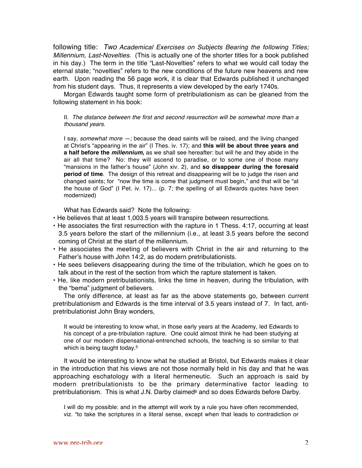following title: Two Academical Exercises on Subjects Bearing the following Titles; Millennium, Last-Novelties. (This is actually one of the shorter titles for a book published in his day.) The term in the title "Last-Novelties" refers to what we would call today the eternal state; "novelties" refers to the new conditions of the future new heavens and new earth. Upon reading the 56 page work, it is clear that Edwards published it unchanged from his student days. Thus, it represents a view developed by the early 1740s.

Morgan Edwards taught some form of pretribulationism as can be gleaned from the following statement in his book:

#### II. The distance between the first and second resurrection will be somewhat more than a thousand years.

I say, somewhat more  $-$ ; because the dead saints will be raised, and the living changed at Christ's "appearing in the air" (I Thes. iv. 17); and **this will be about three years and a half before the millennium,** as we shall see hereafter: but will he and they abide in the air all that time? No: they will ascend to paradise, or to some one of those many "mansions in the father's house" (John xiv. 2), and **so disappear during the foresaid period of time**. The design of this retreat and disappearing will be to judge the risen and changed saints; for "now the time is come that judgment must begin," and that will be "at the house of God" (I Pet. iv. 17)... (p. 7; the spelling of all Edwards quotes have been modernized)

What has Edwards said? Note the following:

- He believes that at least 1,003.5 years will transpire between resurrections.
- He associates the first resurrection with the rapture in 1 Thess. 4:17, occurring at least 3.5 years before the start of the millennium (i.e., at least 3.5 years before the second coming of Christ at the start of the millennium.
- He associates the meeting of believers with Christ in the air and returning to the Father's house with John 14:2, as do modern pretribulationists.
- He sees believers disappearing during the time of the tribulation, which he goes on to talk about in the rest of the section from which the rapture statement is taken.
- He, like modern pretribulationists, links the time in heaven, during the tribulation, with the "bema" judgment of believers.

The only difference, at least as far as the above statements go, between current pretribulationism and Edwards is the time interval of 3.5 years instead of 7. In fact, antipretribulationist John Bray wonders,

It would be interesting to know what, in those early years at the Academy, led Edwards to his concept of a pre-tribulation rapture. One could almost think he had been studying at one of our modern dispensational-entrenched schools, the teaching is so similar to that which is being taught today.<sup>5</sup>

It would be interesting to know what he studied at Bristol, but Edwards makes it clear in the introduction that his views are not those normally held in his day and that he was approaching eschatology with a literal hermeneutic. Such an approach is said by modern pretribulationists to be the primary determinative factor leading to pretribulationism. This is what J.N. Darby claimed $6$  and so does Edwards before Darby.

I will do my possible: and in the attempt will work by a rule you have often recommended, viz. "to take the scriptures in a literal sense, except when that leads to contradiction or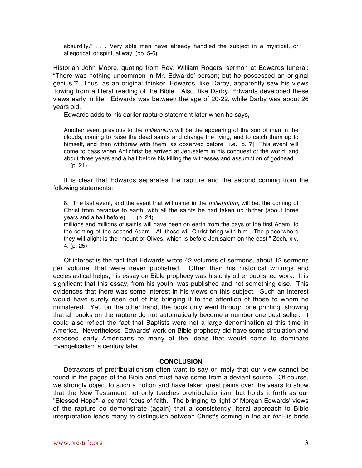absurdity." . . . Very able men have already handled the subject in a mystical, or allegorical, or spiritual way. (pp. 5-6)

Historian John Moore, quoting from Rev. William Rogers' sermon at Edwards funeral: "There was nothing uncommon in Mr. Edwards' person; but he possessed an original genius."7 Thus, as an original thinker, Edwards, like Darby, apparently saw his views flowing from a literal reading of the Bible. Also, like Darby, Edwards developed these views early in life. Edwards was between the age of 20-22, while Darby was about 26 years old.

Edwards adds to his earlier rapture statement later when he says,

Another event previous to the *millennium* will be the appearing of the son of man in the clouds, coming to raise the dead saints and change the living, and to catch them up to himself, and then withdraw with them, as observed before. [i.e., p. 7] This event will come to pass when Antichrist be arrived at Jerusalem in his conquest of the world; and about three years and a half before his killing the witnesses and assumption of godhead. .  $( p. 21)$ 

It is clear that Edwards separates the rapture and the second coming from the following statements:

8. The last event, and the event that will usher in the *millennium*, will be, the coming of Christ from paradise to earth, with all the saints he had taken up thither (about three years and a half before) . . . (p. 24)

millions and millions of saints will have been on earth from the days of the first Adam, to the coming of the second Adam. All these will Christ bring with him. The place where they will alight is the "mount of Olives, which is before Jerusalem on the east." Zech. xiv, 4. (p. 25)

Of interest is the fact that Edwards wrote 42 volumes of sermons, about 12 sermons per volume, that were never published. Other than his historical writings and ecclesiastical helps, his essay on Bible prophecy was his only other published work. It is significant that this essay, from his youth, was published and not something else. This evidences that there was some interest in his views on this subject. Such an interest would have surely risen out of his bringing it to the attention of those to whom he ministered. Yet, on the other hand, the book only went through one printing, showing that all books on the rapture do not automatically become a number one best seller. It could also reflect the fact that Baptists were not a large denomination at this time in America. Nevertheless, Edwards' work on Bible prophecy did have some circulation and exposed early Americans to many of the ideas that would come to dominate Evangelicalism a century later.

### **CONCLUSION**

Detractors of pretribulationism often want to say or imply that our view cannot be found in the pages of the Bible and must have come from a deviant source. Of course, we strongly object to such a notion and have taken great pains over the years to show that the New Testament not only teaches pretribulationism, but holds it forth as our "Blessed Hope"–a central focus of faith. The bringing to light of Morgan Edwards' views of the rapture do demonstrate (again) that a consistently literal approach to Bible interpretation leads many to distinguish between Christ's coming in the air for His bride